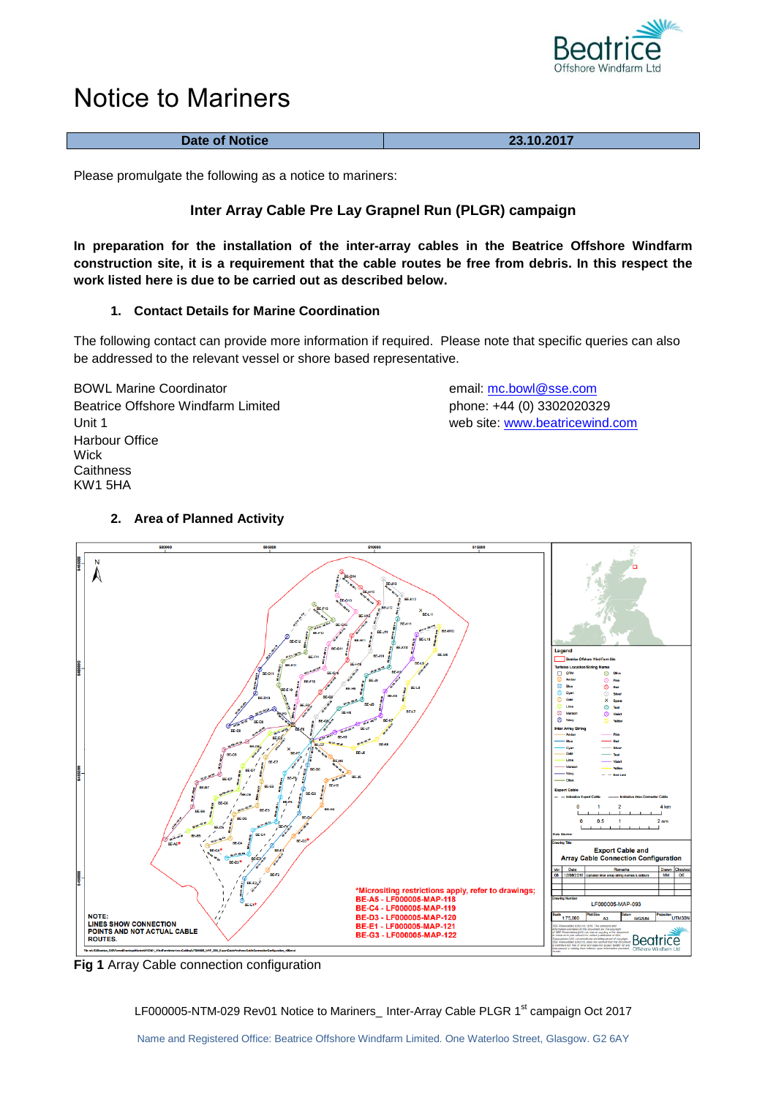

# Notice to Mariners

| Date of Notice | 23.10.2017 |
|----------------|------------|

Please promulgate the following as a notice to mariners:

## **Inter Array Cable Pre Lay Grapnel Run (PLGR) campaign**

**In preparation for the installation of the inter-array cables in the Beatrice Offshore Windfarm construction site, it is a requirement that the cable routes be free from debris. In this respect the work listed here is due to be carried out as described below.**

## **1. Contact Details for Marine Coordination**

The following contact can provide more information if required. Please note that specific queries can also be addressed to the relevant vessel or shore based representative.

BOWL Marine Coordinator email: [mc.bowl@sse.com](mailto:mc.bowl@sse.com) Beatrice Offshore Windfarm Limited phone: +44 (0) 3302020329 Unit 1 web site: [www.beatricew](http://www.beatrice/)ind.com Harbour Office **Wick Caithness** KW1 5HA

## **2. Area of Planned Activity**



**Fig 1** Array Cable connection configuration

LF000005-NTM-029 Rev01 Notice to Mariners\_ Inter-Array Cable PLGR 1<sup>st</sup> campaign Oct 2017

Name and Registered Office: Beatrice Offshore Windfarm Limited. One Waterloo Street, Glasgow. G2 6AY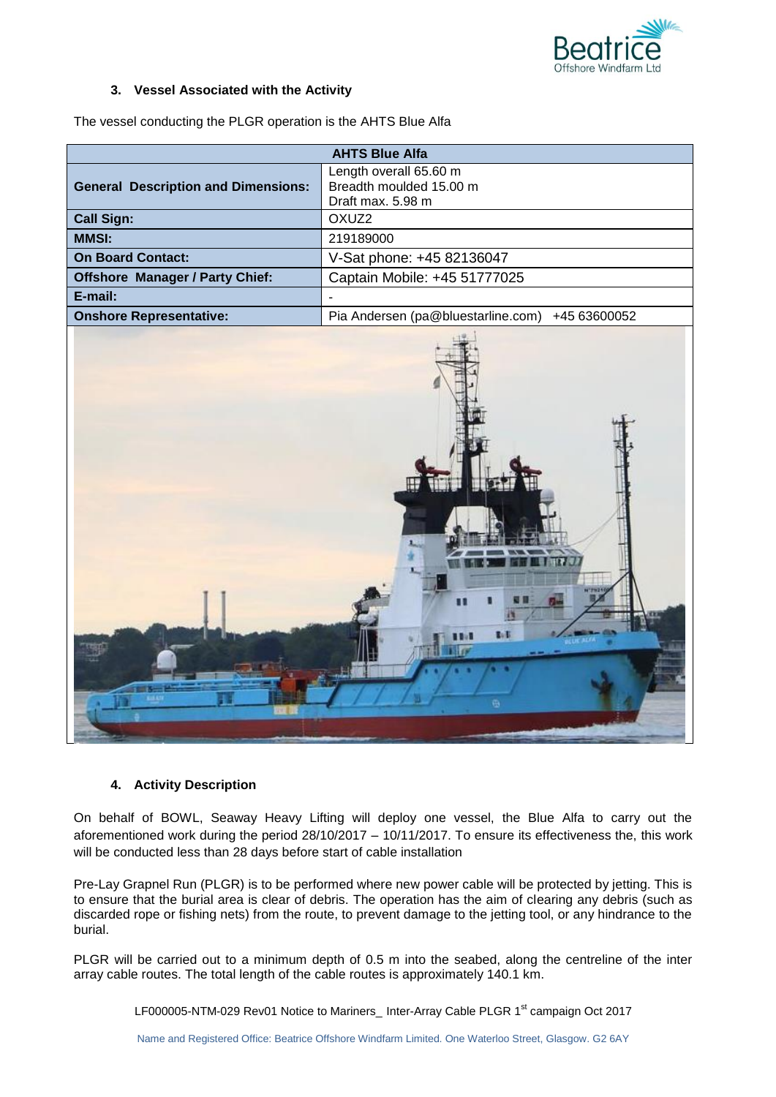

### **3. Vessel Associated with the Activity**

| The vessel conducting the PLGR operation is the AHTS Blue Alfa |  |  |  |
|----------------------------------------------------------------|--|--|--|
|                                                                |  |  |  |

| <b>AHTS Blue Alfa</b>                      |                                                                        |  |  |
|--------------------------------------------|------------------------------------------------------------------------|--|--|
| <b>General Description and Dimensions:</b> | Length overall 65.60 m<br>Breadth moulded 15.00 m<br>Draft max, 5.98 m |  |  |
| <b>Call Sign:</b>                          | OXUZ <sub>2</sub>                                                      |  |  |
| <b>MMSI:</b>                               | 219189000                                                              |  |  |
| <b>On Board Contact:</b>                   | V-Sat phone: +45 82136047                                              |  |  |
| <b>Offshore Manager / Party Chief:</b>     | Captain Mobile: +45 51777025                                           |  |  |
| E-mail:                                    |                                                                        |  |  |
| <b>Onshore Representative:</b>             | Pia Andersen (pa@bluestarline.com)<br>+45 63600052                     |  |  |



## **4. Activity Description**

On behalf of BOWL, Seaway Heavy Lifting will deploy one vessel, the Blue Alfa to carry out the aforementioned work during the period 28/10/2017 – 10/11/2017. To ensure its effectiveness the, this work will be conducted less than 28 days before start of cable installation

Pre-Lay Grapnel Run (PLGR) is to be performed where new power cable will be protected by jetting. This is to ensure that the burial area is clear of debris. The operation has the aim of clearing any debris (such as discarded rope or fishing nets) from the route, to prevent damage to the jetting tool, or any hindrance to the burial.

PLGR will be carried out to a minimum depth of 0.5 m into the seabed, along the centreline of the inter array cable routes. The total length of the cable routes is approximately 140.1 km.

LF000005-NTM-029 Rev01 Notice to Mariners\_ Inter-Array Cable PLGR 1<sup>st</sup> campaign Oct 2017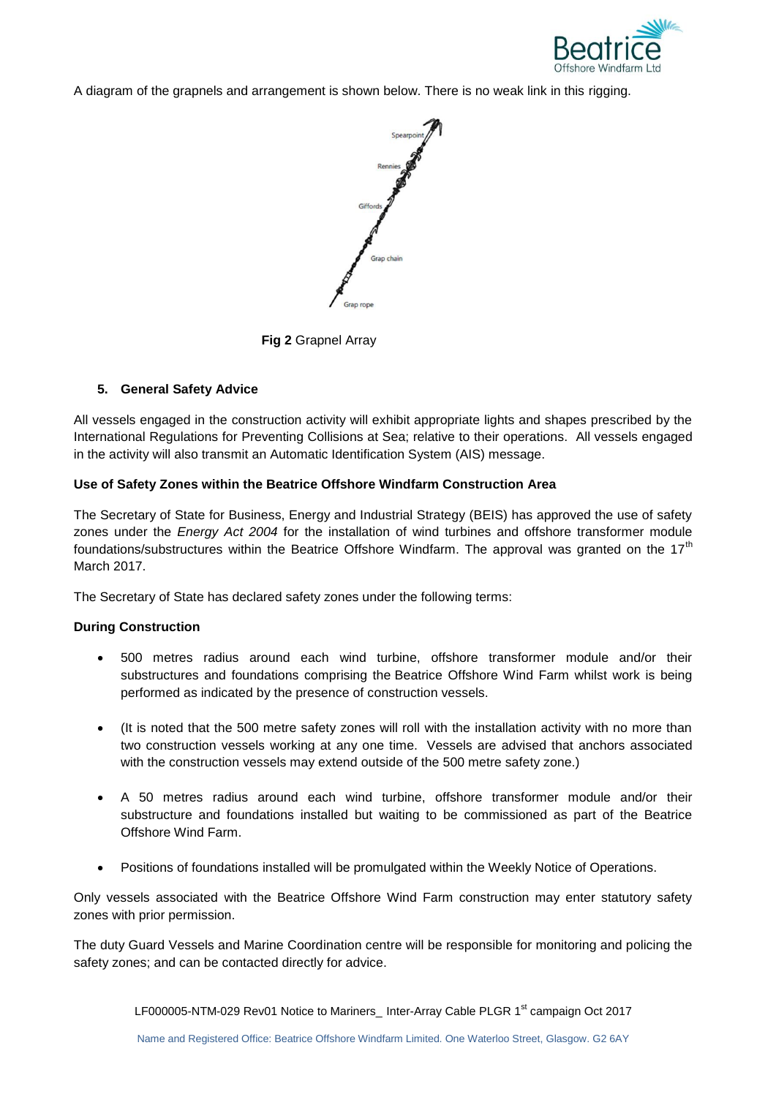

A diagram of the grapnels and arrangement is shown below. There is no weak link in this rigging.



**Fig 2** Grapnel Array

## **5. General Safety Advice**

All vessels engaged in the construction activity will exhibit appropriate lights and shapes prescribed by the International Regulations for Preventing Collisions at Sea; relative to their operations. All vessels engaged in the activity will also transmit an Automatic Identification System (AIS) message.

## **Use of Safety Zones within the Beatrice Offshore Windfarm Construction Area**

The Secretary of State for Business, Energy and Industrial Strategy (BEIS) has approved the use of safety zones under the *Energy Act 2004* for the installation of wind turbines and offshore transformer module foundations/substructures within the Beatrice Offshore Windfarm. The approval was granted on the 17<sup>th</sup> March 2017.

The Secretary of State has declared safety zones under the following terms:

## **During Construction**

- 500 metres radius around each wind turbine, offshore transformer module and/or their substructures and foundations comprising the Beatrice Offshore Wind Farm whilst work is being performed as indicated by the presence of construction vessels.
- (It is noted that the 500 metre safety zones will roll with the installation activity with no more than two construction vessels working at any one time. Vessels are advised that anchors associated with the construction vessels may extend outside of the 500 metre safety zone.)
- A 50 metres radius around each wind turbine, offshore transformer module and/or their substructure and foundations installed but waiting to be commissioned as part of the Beatrice Offshore Wind Farm.
- Positions of foundations installed will be promulgated within the Weekly Notice of Operations.

Only vessels associated with the Beatrice Offshore Wind Farm construction may enter statutory safety zones with prior permission.

The duty Guard Vessels and Marine Coordination centre will be responsible for monitoring and policing the safety zones; and can be contacted directly for advice.

LF000005-NTM-029 Rev01 Notice to Mariners\_ Inter-Array Cable PLGR 1<sup>st</sup> campaign Oct 2017